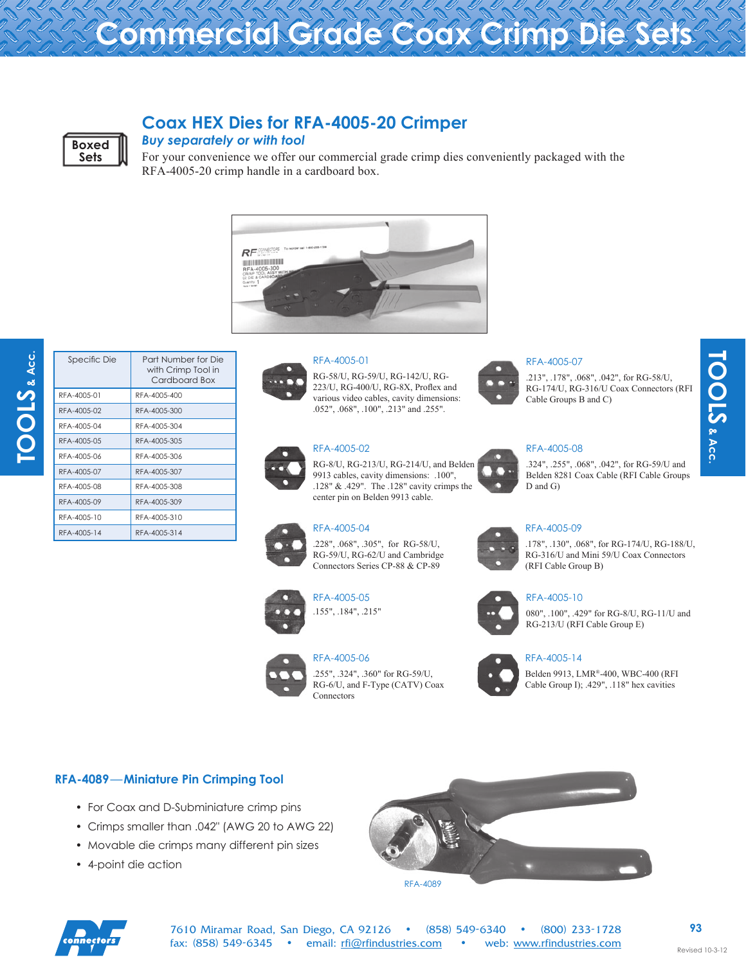# **Commercial Grade Coax Crimp Die Sets**



## **Coax HEX Dies for RFA-4005-20 Crimper**

### *Buy separately or with tool*

For your convenience we offer our commercial grade crimp dies conveniently packaged with the RFA-4005-20 crimp handle in a cardboard box.





| Specific Die | Part Number for Die<br>with Crimp Tool in<br>Cardboard Box |
|--------------|------------------------------------------------------------|
| RFA-4005-01  | RFA-4005-400                                               |
| RFA-4005-02  | RFA-4005-300                                               |
| RFA-4005-04  | RFA-4005-304                                               |
| RFA-4005-05  | RFA-4005-305                                               |
| RFA-4005-06  | RFA-4005-306                                               |
| RFA-4005-07  | RFA-4005-307                                               |
| RFA-4005-08  | RFA-4005-308                                               |
| RFA-4005-09  | RFA-4005-309                                               |
| RFA-4005-10  | RFA-4005-310                                               |
| RFA-4005-14  | RFA-4005-314                                               |



#### RFA-4005-01

RG-58/U, RG-59/U, RG-142/U, RG-223/U, RG-400/U, RG-8X, Proflex and various video cables, cavity dimensions: .052", .068", .100", .213" and .255".



#### RFA-4005-02

RG-8/U, RG-213/U, RG-214/U, and Belden 9913 cables, cavity dimensions: .100", .128" & .429". The .128" cavity crimps the center pin on Belden 9913 cable.



RFA-4005-04

RFA-4005-05

.228", .068", .305", for RG-58/U, RG-59/U, RG-62/U and Cambridge Connectors Series CP-88 & CP-89



.155", .184", .215"



#### RFA-4005-06 .255", .324", .360" for RG-59/U, RG-6/U, and F-Type (CATV) Coax Connectors



#### RFA-4005-07

.213", .178", .068", .042", for RG-58/U, RG-174/U, RG-316/U Coax Connectors (RFI Cable Groups B and C)

**TOOLS** & Acc.

TOOLS & Acc.

#### RFA-4005-08

.324", .255", .068", .042", for RG-59/U and Belden 8281 Coax Cable (RFI Cable Groups D and G)

#### RFA-4005-09

.178", .130", .068", for RG-174/U, RG-188/U, RG-316/U and Mini 59/U Coax Connectors (RFI Cable Group B)



#### RFA-4005-10

080", .100", .429" for RG-8/U, RG-11/U and RG-213/U (RFI Cable Group E)



#### RFA-4005-14

Belden 9913, LMR®-400, WBC-400 (RFI Cable Group I); .429", .118" hex cavities

#### **RFA-4089**—**Miniature Pin Crimping Tool**

- For Coax and D-Subminiature crimp pins
- Crimps smaller than .042" (AWG 20 to AWG 22)
- Movable die crimps many different pin sizes
- 4-point die action



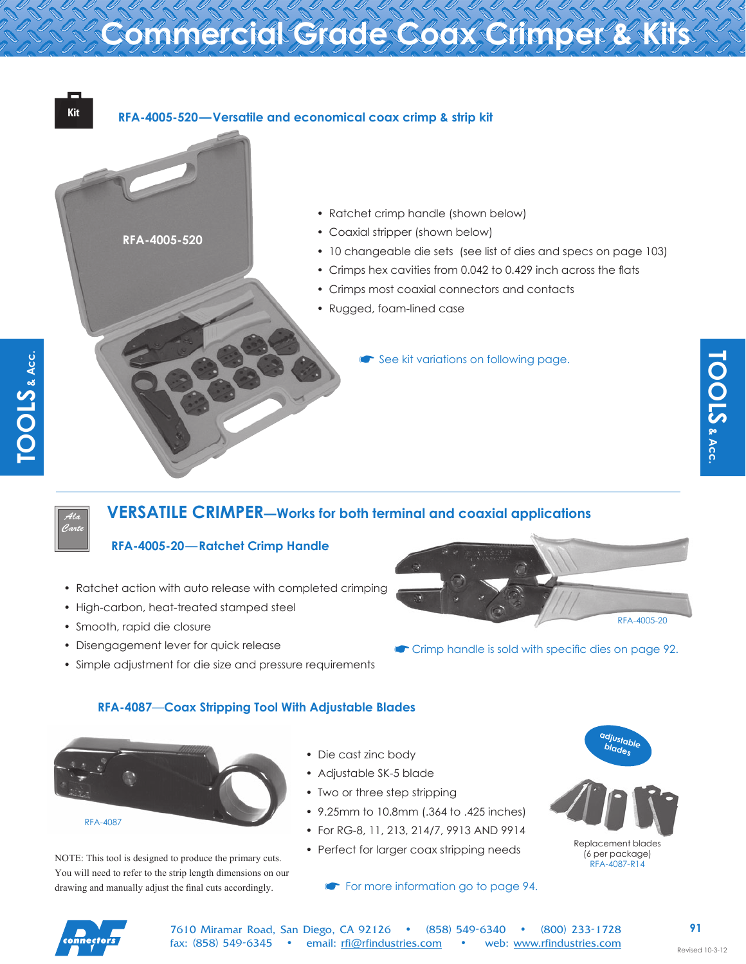# **Commercial Grade Coax Crimper & Kits**



## **VERSATILE CRIMPER—Works for both terminal and coaxial applications**

## **RFA-4005-20**—**Ratchet Crimp Handle**

- • Ratchet action with auto release with completed crimping
- High-carbon, heat-treated stamped steel
- • Smooth, rapid die closure

*Ala Carte*

- • Disengagement lever for quick release
- Simple adjustment for die size and pressure requirements

RFA-4005-20

**• Crimp handle is sold with specific dies on page 92.** 

### **RFA-4087**—**Coax Stripping Tool With Adjustable Blades**



NOTE: This tool is designed to produce the primary cuts. You will need to refer to the strip length dimensions on our drawing and manually adjust the final cuts accordingly.

- • Die cast zinc body
- • Adjustable SK-5 blade
- Two or three step stripping
- 9.25mm to 10.8mm (.364 to .425 inches)
- • For RG-8, 11, 213, 214/7, 9913 AND 9914
- Perfect for larger coax stripping needs

### **• For more information go to page 94.**



(6 per package) RFA-4087-R14